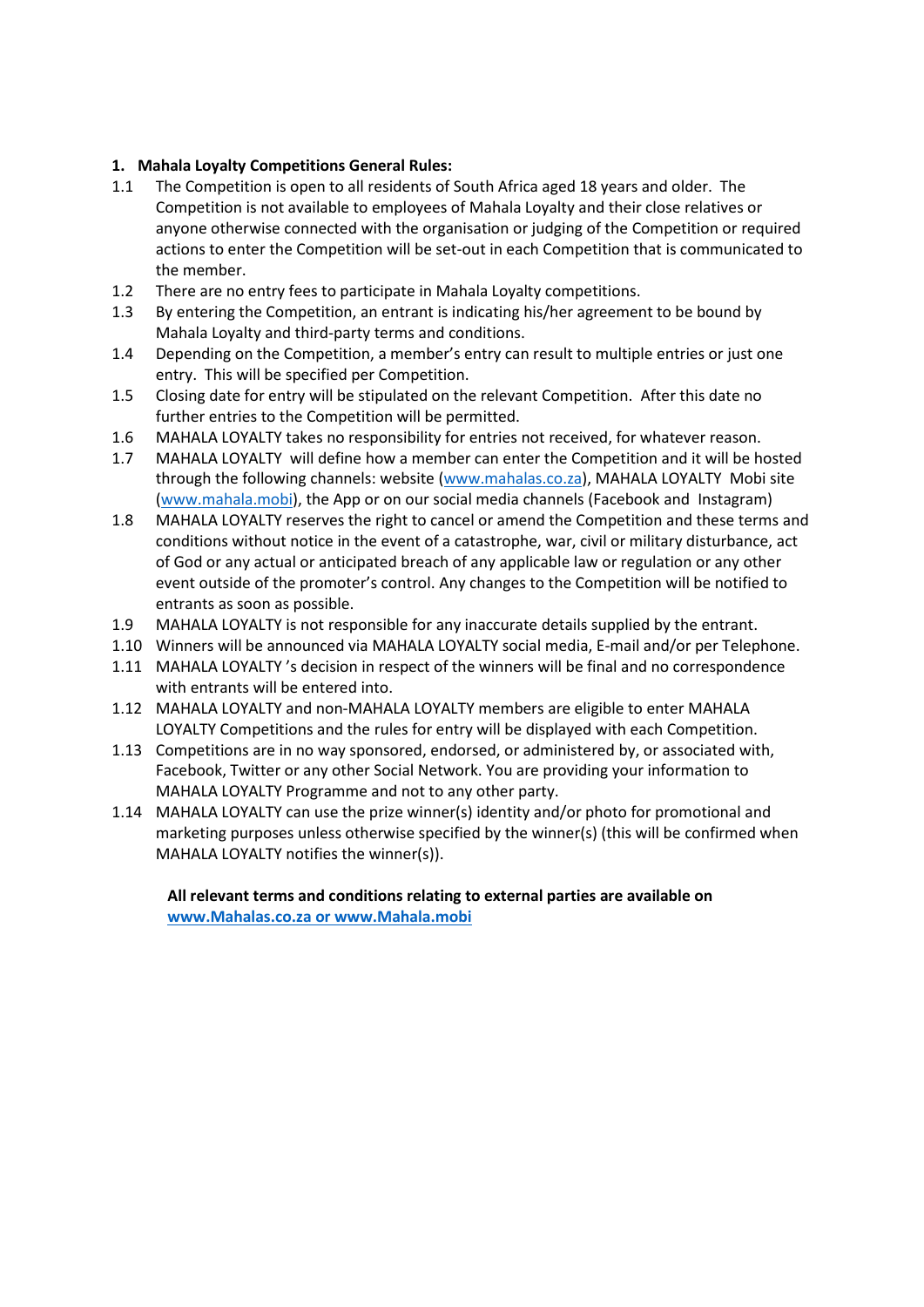## **1. Mahala Loyalty Competitions General Rules:**

- 1.1 The Competition is open to all residents of South Africa aged 18 years and older. The Competition is not available to employees of Mahala Loyalty and their close relatives or anyone otherwise connected with the organisation or judging of the Competition or required actions to enter the Competition will be set-out in each Competition that is communicated to the member.
- 1.2 There are no entry fees to participate in Mahala Loyalty competitions.
- 1.3 By entering the Competition, an entrant is indicating his/her agreement to be bound by Mahala Loyalty and third-party terms and conditions.
- 1.4 Depending on the Competition, a member's entry can result to multiple entries or just one entry. This will be specified per Competition.
- 1.5 Closing date for entry will be stipulated on the relevant Competition. After this date no further entries to the Competition will be permitted.
- 1.6 MAHALA LOYALTY takes no responsibility for entries not received, for whatever reason.
- 1.7 MAHALA LOYALTY will define how a member can enter the Competition and it will be hosted through the following channels: website [\(www.mahalas.co.za\)](http://www.mahalas.co.za/), MAHALA LOYALTY Mobi site [\(www.mahala.mobi\)](http://www.mahala.mobi/), the App or on our social media channels (Facebook and Instagram)
- 1.8 MAHALA LOYALTY reserves the right to cancel or amend the Competition and these terms and conditions without notice in the event of a catastrophe, war, civil or military disturbance, act of God or any actual or anticipated breach of any applicable law or regulation or any other event outside of the promoter's control. Any changes to the Competition will be notified to entrants as soon as possible.
- 1.9 MAHALA LOYALTY is not responsible for any inaccurate details supplied by the entrant.
- 1.10 Winners will be announced via MAHALA LOYALTY social media, E-mail and/or per Telephone.
- 1.11 MAHALA LOYALTY 's decision in respect of the winners will be final and no correspondence with entrants will be entered into.
- 1.12 MAHALA LOYALTY and non-MAHALA LOYALTY members are eligible to enter MAHALA LOYALTY Competitions and the rules for entry will be displayed with each Competition.
- 1.13 Competitions are in no way sponsored, endorsed, or administered by, or associated with, Facebook, Twitter or any other Social Network. You are providing your information to MAHALA LOYALTY Programme and not to any other party.
- 1.14 MAHALA LOYALTY can use the prize winner(s) identity and/or photo for promotional and marketing purposes unless otherwise specified by the winner(s) (this will be confirmed when MAHALA LOYALTY notifies the winner(s)).

**All relevant terms and conditions relating to external parties are available on [www.Mahalas.co.za](http://www.mahalas.co.za/) or www.Mahala.mobi**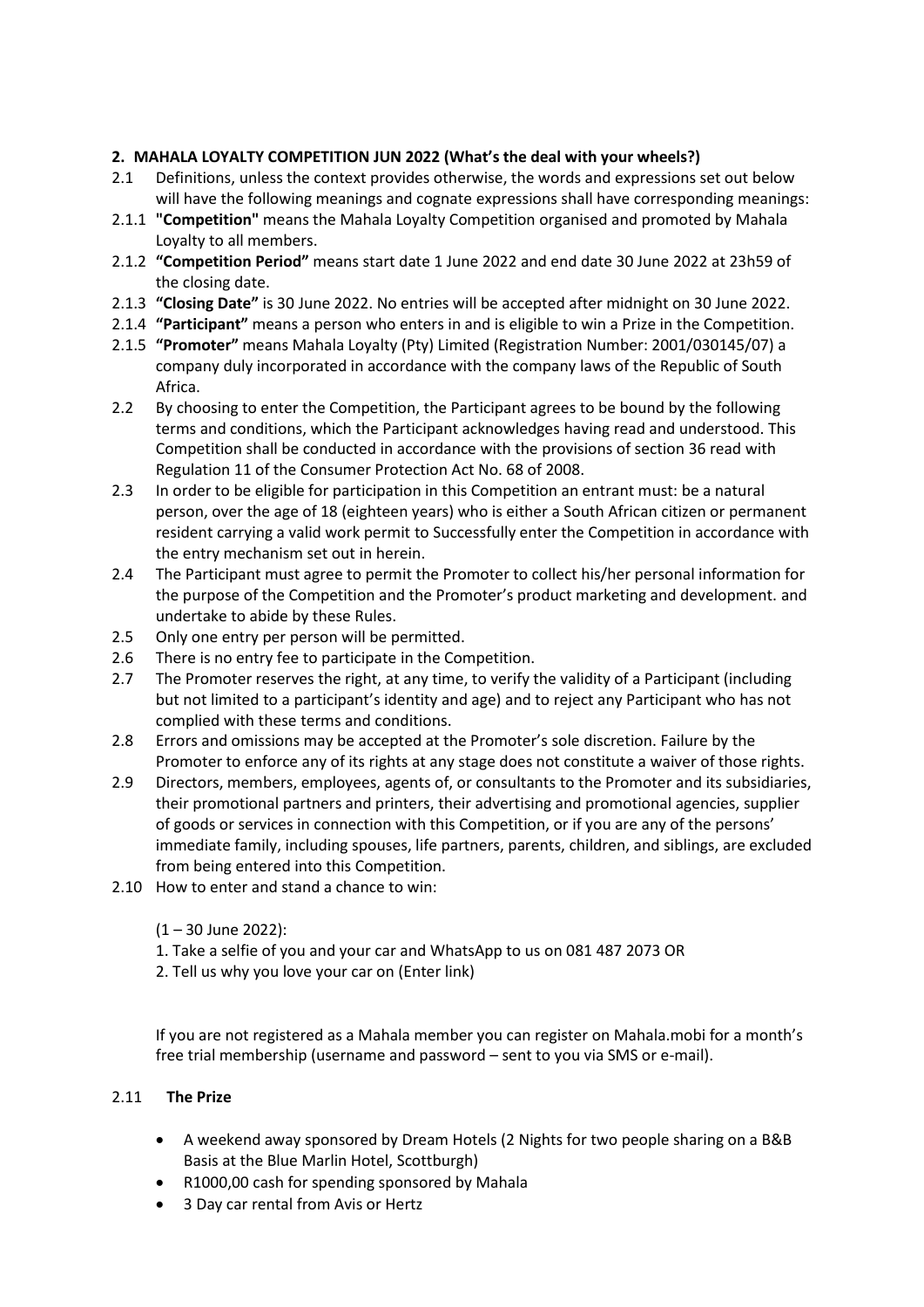## **2. MAHALA LOYALTY COMPETITION JUN 2022 (What's the deal with your wheels?)**

- 2.1 Definitions, unless the context provides otherwise, the words and expressions set out below will have the following meanings and cognate expressions shall have corresponding meanings:
- 2.1.1 **"Competition"** means the Mahala Loyalty Competition organised and promoted by Mahala Loyalty to all members.
- 2.1.2 **"Competition Period"** means start date 1 June 2022 and end date 30 June 2022 at 23h59 of the closing date.
- 2.1.3 **"Closing Date"** is 30 June 2022. No entries will be accepted after midnight on 30 June 2022.
- 2.1.4 **"Participant"** means a person who enters in and is eligible to win a Prize in the Competition.
- 2.1.5 **"Promoter"** means Mahala Loyalty (Pty) Limited (Registration Number: 2001/030145/07) a company duly incorporated in accordance with the company laws of the Republic of South Africa.
- 2.2 By choosing to enter the Competition, the Participant agrees to be bound by the following terms and conditions, which the Participant acknowledges having read and understood. This Competition shall be conducted in accordance with the provisions of section 36 read with Regulation 11 of the Consumer Protection Act No. 68 of 2008.
- 2.3 In order to be eligible for participation in this Competition an entrant must: be a natural person, over the age of 18 (eighteen years) who is either a South African citizen or permanent resident carrying a valid work permit to Successfully enter the Competition in accordance with the entry mechanism set out in herein.
- 2.4 The Participant must agree to permit the Promoter to collect his/her personal information for the purpose of the Competition and the Promoter's product marketing and development. and undertake to abide by these Rules.
- 2.5 Only one entry per person will be permitted.
- 2.6 There is no entry fee to participate in the Competition.
- 2.7 The Promoter reserves the right, at any time, to verify the validity of a Participant (including but not limited to a participant's identity and age) and to reject any Participant who has not complied with these terms and conditions.
- 2.8 Errors and omissions may be accepted at the Promoter's sole discretion. Failure by the Promoter to enforce any of its rights at any stage does not constitute a waiver of those rights.
- 2.9 Directors, members, employees, agents of, or consultants to the Promoter and its subsidiaries, their promotional partners and printers, their advertising and promotional agencies, supplier of goods or services in connection with this Competition, or if you are any of the persons' immediate family, including spouses, life partners, parents, children, and siblings, are excluded from being entered into this Competition.
- 2.10 How to enter and stand a chance to win:
	- (1 30 June 2022):
	- 1. Take a selfie of you and your car and WhatsApp to us on 081 487 2073 OR
	- 2. Tell us why you love your car on (Enter link)

If you are not registered as a Mahala member you can register on Mahala.mobi for a month's free trial membership (username and password – sent to you via SMS or e-mail).

## 2.11 **The Prize**

- A weekend away sponsored by Dream Hotels (2 Nights for two people sharing on a B&B Basis at the Blue Marlin Hotel, Scottburgh)
- R1000,00 cash for spending sponsored by Mahala
- 3 Day car rental from Avis or Hertz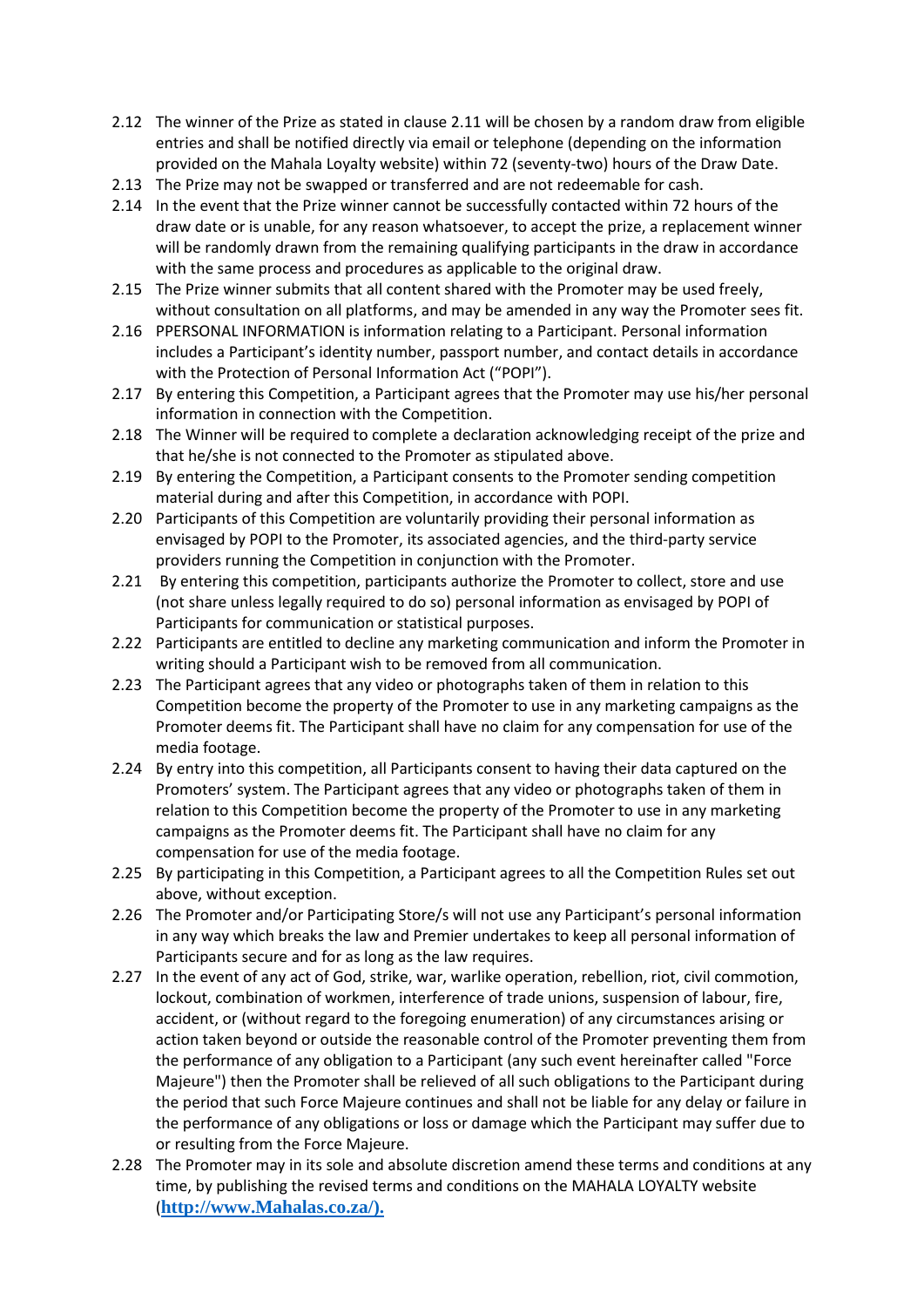- 2.12 The winner of the Prize as stated in clause 2.11 will be chosen by a random draw from eligible entries and shall be notified directly via email or telephone (depending on the information provided on the Mahala Loyalty website) within 72 (seventy-two) hours of the Draw Date.
- 2.13 The Prize may not be swapped or transferred and are not redeemable for cash.
- 2.14 In the event that the Prize winner cannot be successfully contacted within 72 hours of the draw date or is unable, for any reason whatsoever, to accept the prize, a replacement winner will be randomly drawn from the remaining qualifying participants in the draw in accordance with the same process and procedures as applicable to the original draw.
- 2.15 The Prize winner submits that all content shared with the Promoter may be used freely, without consultation on all platforms, and may be amended in any way the Promoter sees fit.
- 2.16 PPERSONAL INFORMATION is information relating to a Participant. Personal information includes a Participant's identity number, passport number, and contact details in accordance with the Protection of Personal Information Act ("POPI").
- 2.17 By entering this Competition, a Participant agrees that the Promoter may use his/her personal information in connection with the Competition.
- 2.18 The Winner will be required to complete a declaration acknowledging receipt of the prize and that he/she is not connected to the Promoter as stipulated above.
- 2.19 By entering the Competition, a Participant consents to the Promoter sending competition material during and after this Competition, in accordance with POPI.
- 2.20 Participants of this Competition are voluntarily providing their personal information as envisaged by POPI to the Promoter, its associated agencies, and the third-party service providers running the Competition in conjunction with the Promoter.
- 2.21 By entering this competition, participants authorize the Promoter to collect, store and use (not share unless legally required to do so) personal information as envisaged by POPI of Participants for communication or statistical purposes.
- 2.22 Participants are entitled to decline any marketing communication and inform the Promoter in writing should a Participant wish to be removed from all communication.
- 2.23 The Participant agrees that any video or photographs taken of them in relation to this Competition become the property of the Promoter to use in any marketing campaigns as the Promoter deems fit. The Participant shall have no claim for any compensation for use of the media footage.
- 2.24 By entry into this competition, all Participants consent to having their data captured on the Promoters' system. The Participant agrees that any video or photographs taken of them in relation to this Competition become the property of the Promoter to use in any marketing campaigns as the Promoter deems fit. The Participant shall have no claim for any compensation for use of the media footage.
- 2.25 By participating in this Competition, a Participant agrees to all the Competition Rules set out above, without exception.
- 2.26 The Promoter and/or Participating Store/s will not use any Participant's personal information in any way which breaks the law and Premier undertakes to keep all personal information of Participants secure and for as long as the law requires.
- 2.27 In the event of any act of God, strike, war, warlike operation, rebellion, riot, civil commotion, lockout, combination of workmen, interference of trade unions, suspension of labour, fire, accident, or (without regard to the foregoing enumeration) of any circumstances arising or action taken beyond or outside the reasonable control of the Promoter preventing them from the performance of any obligation to a Participant (any such event hereinafter called "Force Majeure") then the Promoter shall be relieved of all such obligations to the Participant during the period that such Force Majeure continues and shall not be liable for any delay or failure in the performance of any obligations or loss or damage which the Participant may suffer due to or resulting from the Force Majeure.
- 2.28 The Promoter may in its sole and absolute discretion amend these terms and conditions at any time, by publishing the revised terms and conditions on the MAHALA LOYALTY website (**[http://www.Mahalas.co.za/\)](http://www.mahalas.co.za/).**